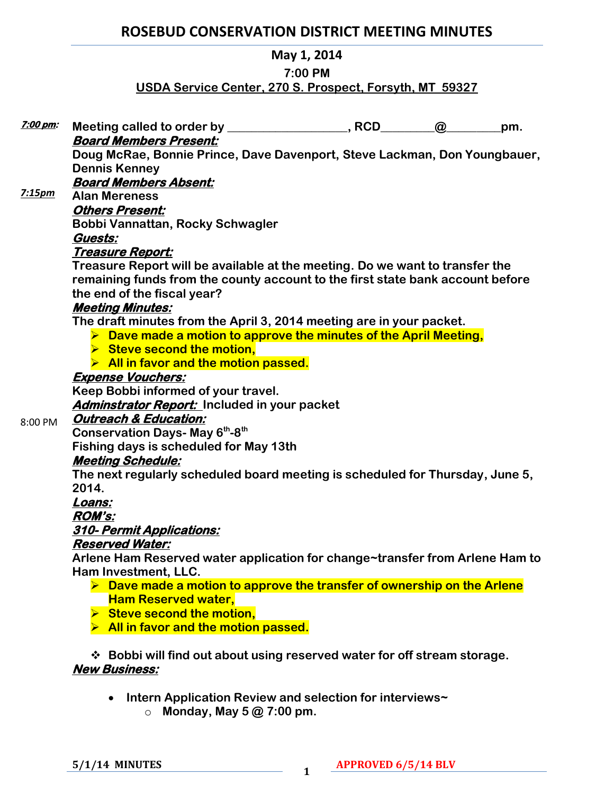# **ROSEBUD CONSERVATION DISTRICT MEETING MINUTES**

### **May 1, 2014**

#### **7:00 PM**

## **USDA Service Center, 270 S. Prospect, Forsyth, MT 59327**

| <u>7:00 pm:</u> |                                                                                                                      | $\omega$ | pm. |
|-----------------|----------------------------------------------------------------------------------------------------------------------|----------|-----|
|                 | <b>Board Members Present:</b>                                                                                        |          |     |
|                 | Doug McRae, Bonnie Prince, Dave Davenport, Steve Lackman, Don Youngbauer,                                            |          |     |
| 7:15pm          | <b>Dennis Kenney</b>                                                                                                 |          |     |
|                 | <b>Board Members Absent:</b>                                                                                         |          |     |
|                 | <b>Alan Mereness</b>                                                                                                 |          |     |
|                 | <b>Others Present:</b>                                                                                               |          |     |
|                 | Bobbi Vannattan, Rocky Schwagler                                                                                     |          |     |
|                 | Guests:                                                                                                              |          |     |
|                 | Treasure Report:                                                                                                     |          |     |
|                 | Treasure Report will be available at the meeting. Do we want to transfer the                                         |          |     |
|                 | remaining funds from the county account to the first state bank account before                                       |          |     |
|                 | the end of the fiscal year?                                                                                          |          |     |
|                 | <b>Meeting Minutes:</b>                                                                                              |          |     |
|                 | The draft minutes from the April 3, 2014 meeting are in your packet.                                                 |          |     |
|                 | $\triangleright$ Dave made a motion to approve the minutes of the April Meeting,                                     |          |     |
|                 | Steve second the motion,                                                                                             |          |     |
|                 | $\triangleright$ All in favor and the motion passed.                                                                 |          |     |
|                 | <b>Expense Vouchers:</b>                                                                                             |          |     |
|                 | Keep Bobbi informed of your travel.                                                                                  |          |     |
|                 | <b>Adminstrator Report:</b> Included in your packet<br><b>Outreach &amp; Education:</b>                              |          |     |
| 8:00 PM         |                                                                                                                      |          |     |
|                 | <b>Conservation Days- May 6th-8th</b>                                                                                |          |     |
|                 | Fishing days is scheduled for May 13th                                                                               |          |     |
|                 | <b>Meeting Schedule:</b>                                                                                             |          |     |
|                 | The next regularly scheduled board meeting is scheduled for Thursday, June 5,<br>2014.                               |          |     |
|                 |                                                                                                                      |          |     |
|                 | Loans:                                                                                                               |          |     |
|                 | <b>ROM's:</b><br>310- Permit Applications:                                                                           |          |     |
|                 | <b>Reserved Water:</b>                                                                                               |          |     |
|                 |                                                                                                                      |          |     |
|                 | Arlene Ham Reserved water application for change~transfer from Arlene Ham to                                         |          |     |
|                 | Ham Investment, LLC.                                                                                                 |          |     |
|                 | $\triangleright$ Dave made a motion to approve the transfer of ownership on the Arlene<br><b>Ham Reserved water,</b> |          |     |
|                 | $\triangleright$ Steve second the motion,                                                                            |          |     |
|                 |                                                                                                                      |          |     |
|                 | > All in favor and the motion passed.                                                                                |          |     |
|                 | ❖ Bobbi will find out about using reserved water for off stream storage.                                             |          |     |
|                 | <b>New Business:</b>                                                                                                 |          |     |
|                 |                                                                                                                      |          |     |

- **Intern Application Review and selection for interviews~** 
	- o **Monday, May 5 @ 7:00 pm.**

**5/1/14 MINUTES <sup>1</sup>**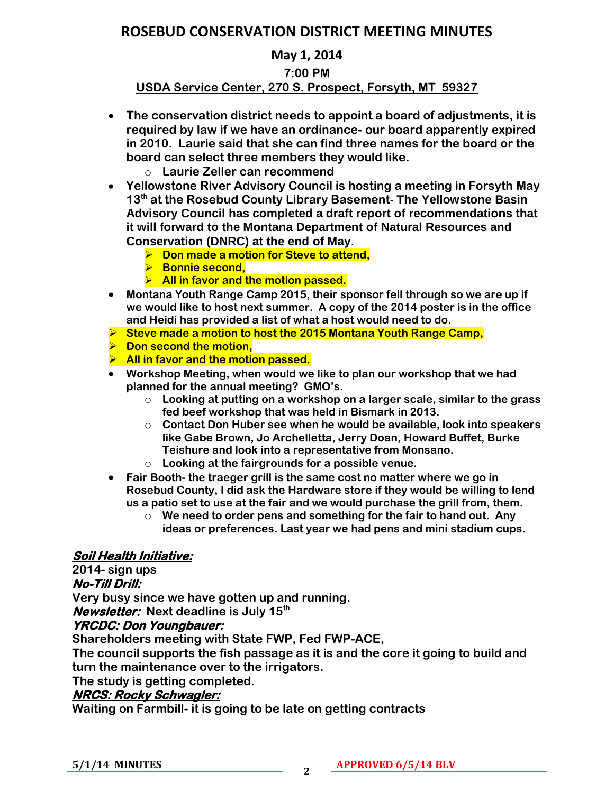## **ROSEBUD CONSERVATION DISTRICT MEETING MINUTES**

### **May 1, 2014**

#### **7:00 PM**

## **USDA Service Center, 270 S. Prospect, Forsyth, MT 59327**

- **The conservation district needs to appoint a board of adjustments, it is required by law if we have an ordinance- our board apparently expired in 2010. Laurie said that she can find three names for the board or the board can select three members they would like.** 
	- o **Laurie Zeller can recommend**
- **Yellowstone River Advisory Council is hosting a meeting in Forsyth May 13th at the Rosebud County Library Basement**- **The Yellowstone Basin Advisory Council has completed a draft report of recommendations that it will forward to the Montana Department of Natural Resources and Conservation (DNRC) at the end of May**.
	- **Don made a motion for Steve to attend,**
	- **Bonnie second,**
	- **All in favor and the motion passed.**
- **Montana Youth Range Camp 2015, their sponsor fell through so we are up if we would like to host next summer. A copy of the 2014 poster is in the office and Heidi has provided a list of what a host would need to do.**
- **Steve made a motion to host the 2015 Montana Youth Range Camp,**
- **Don second the motion,**
- **All in favor and the motion passed.**
- **Workshop Meeting, when would we like to plan our workshop that we had planned for the annual meeting? GMO's.** 
	- o **Looking at putting on a workshop on a larger scale, similar to the grass fed beef workshop that was held in Bismark in 2013.**
	- o **Contact Don Huber see when he would be available, look into speakers like Gabe Brown, Jo Archelletta, Jerry Doan, Howard Buffet, Burke Teishure and look into a representative from Monsano.**
	- o **Looking at the fairgrounds for a possible venue.**
- **Fair Booth- the traeger grill is the same cost no matter where we go in Rosebud County, I did ask the Hardware store if they would be willing to lend us a patio set to use at the fair and we would purchase the grill from, them.** 
	- o **We need to order pens and something for the fair to hand out. Any ideas or preferences. Last year we had pens and mini stadium cups.**

#### **Soil Health Initiative:**

**2014- sign ups**

## **No-Till Drill:**

**Very busy since we have gotten up and running.** 

**Newsletter: Next deadline is July 15th**

#### **YRCDC: Don Youngbauer:**

**Shareholders meeting with State FWP, Fed FWP-ACE,** 

**The council supports the fish passage as it is and the core it going to build and turn the maintenance over to the irrigators.** 

**The study is getting completed.** 

#### **NRCS: Rocky Schwagler:**

**Waiting on Farmbill- it is going to be late on getting contracts**